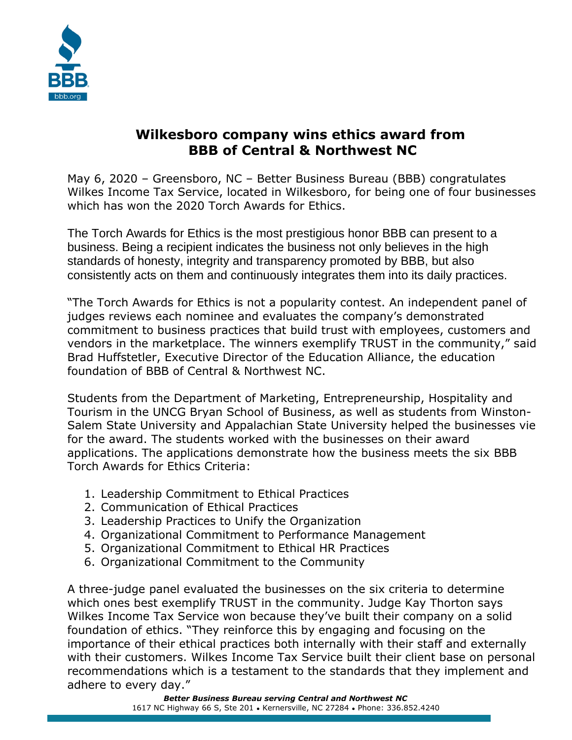

## **Wilkesboro company wins ethics award from BBB of Central & Northwest NC**

May 6, 2020 – Greensboro, NC – Better Business Bureau (BBB) congratulates Wilkes Income Tax Service, located in Wilkesboro, for being one of four businesses which has won the 2020 Torch Awards for Ethics.

The Torch Awards for Ethics is the most prestigious honor BBB can present to a business. Being a recipient indicates the business not only believes in the high standards of honesty, integrity and transparency promoted by BBB, but also consistently acts on them and continuously integrates them into its daily practices.

"The Torch Awards for Ethics is not a popularity contest. An independent panel of judges reviews each nominee and evaluates the company's demonstrated commitment to business practices that build trust with employees, customers and vendors in the marketplace. The winners exemplify TRUST in the community," said Brad Huffstetler, Executive Director of the Education Alliance, the education foundation of BBB of Central & Northwest NC.

Students from the Department of Marketing, Entrepreneurship, Hospitality and Tourism in the UNCG Bryan School of Business, as well as students from Winston-Salem State University and Appalachian State University helped the businesses vie for the award. The students worked with the businesses on their award applications. The applications demonstrate how the business meets the six BBB Torch Awards for Ethics Criteria:

- 1. Leadership Commitment to Ethical Practices
- 2. Communication of Ethical Practices
- 3. Leadership Practices to Unify the Organization
- 4. Organizational Commitment to Performance Management
- 5. Organizational Commitment to Ethical HR Practices
- 6. Organizational Commitment to the Community

A three-judge panel evaluated the businesses on the six criteria to determine which ones best exemplify TRUST in the community. Judge Kay Thorton says Wilkes Income Tax Service won because they've built their company on a solid foundation of ethics. "They reinforce this by engaging and focusing on the importance of their ethical practices both internally with their staff and externally with their customers. Wilkes Income Tax Service built their client base on personal recommendations which is a testament to the standards that they implement and adhere to every day."